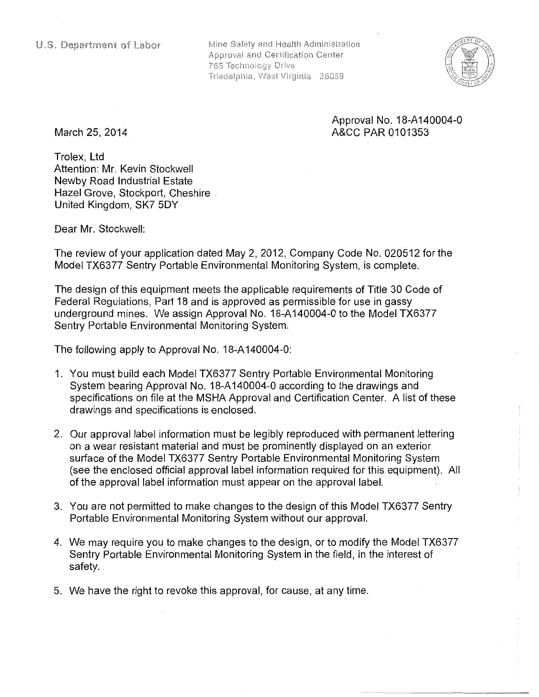Mine Safety and Health Administration Approval and Certification Center 765 Technology Drive Triadelphia, West Virginia 26059



## Approval No. 18-A 140004-0 A&CC PAR 0101353

March 25, 2014

Trolex, Ltd Attention: Mr. Kevin Stockwell Newby Road Industrial Estate Hazel Grove, Stockport, Cheshire . United Kingdom, SK7 5DY

Dear Mr. Stockwell:

The review of your application dated May 2, 2012, Company Code No. 020512 for the Model TX6377 Sentry Portable Environmental Monitoring System, is complete.

The design of this equipment meets the applicable requirements of Title 30 Code of Federal Regulations, Part 18 and is approved as permissible for use in gassy underground mines. We assign Approval No. 18-A140004-0 to the Model TX6377 Sentry Portable Environmental Monitoring System.

The following apply to Approval No. 18-A 140004-0:

- 1. You must build each Model TX6377 Sentry Portable Environmental Monitoring System bearing Approval No. 18-A 140004-0 according to the drawings and specifications on file at the MSHA Approval and Certification Center. A list of these drawings and specifications is enclosed.
- 2. Our approval label information must be legibly reproduced with permanent lettering on a wear resistant material and must be prominently displayed on an exterior surface of the Model TX6377 Sentry Portable Environmental Monitoring System (see the enclosed official approval label information required for this equipment). All of the approval label information must appear on the approval label.
- 3. You are not permitted to make changes to the design of this Model TX6377 Sentry Portable Environmental Monitoring System without our approval.
- 4. We may require you to make changes to the design, or to modify the Model TX6377 Sentry Portable Environmental Monitoring System in the field, in the interest of safety.
- 5. We have the right to revoke this approval, for cause, at any time.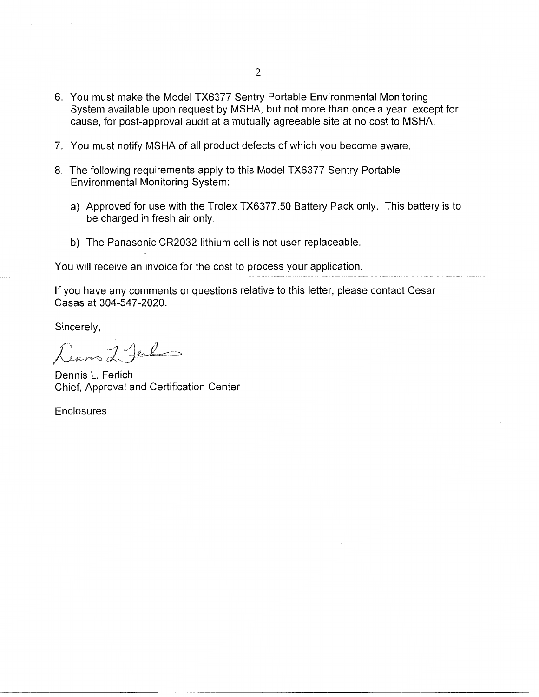- 6. You must make the Model TX6377 Sentry Portable Environmental Monitoring System available upon request by MSHA, but not more than once a year, except for cause, for post-approval audit at a mutually agreeable site at no cost to MSHA.
- 7. You must notify MSHA of all product defects of which you become aware.
- 8. The following requirements apply to this Model TX6377 Sentry Portable Environmental Monitoring System:
	- a) Approved for use with the Trolex TX6377.50 Battery Pack only. This battery is to be charged in fresh air only.
	- b) The Panasonic CR2032 lithium cell is not user-replaceable.

You will receive an invoice for the cost to process your application.

If you have any comments or questions relative to this letter, please contact Cesar Casas at 304-547-2020.

Sincerely,

*)J.* tr-\ *,\_./2* J *IJ* ~ ~:::~.-~=--~ r~rv-c;;, *c* '-,~ ·

Dennis L. Ferlich Chief, Approval and Certification Center

**Enclosures**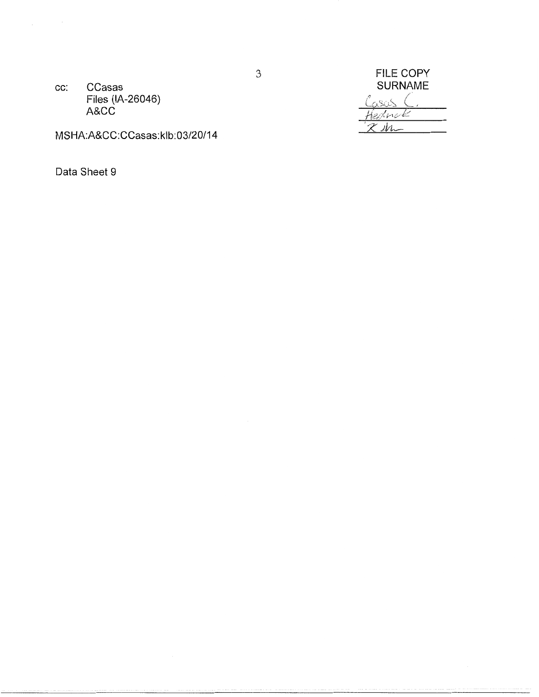CCasas CC: Files (IA-26046) A&CC

FILE COPY<br>SURNAME asas ( fednak ibr.

MSHA:A&CC:CCasas:klb:03/20/14

Data Sheet 9

 $\mathfrak{Z}$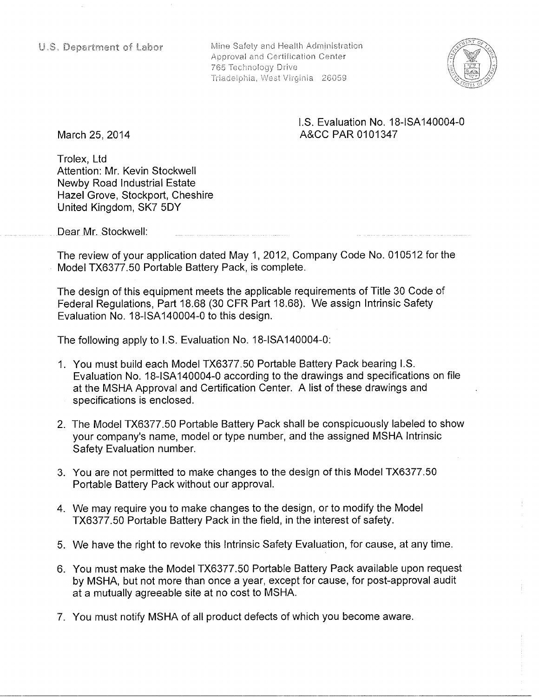Mine Safety and Health Administration Approval and Certification Center 765 Technology Drive Triadelphia, West Virginia 26059



## I.S. Evaluation No. 18-ISA 140004-0 A&CC PAR 0101347

March 25, 2014

Trolex, Ltd Attention: Mr. Kevin Stockwell Newby Road Industrial Estate Hazel Grove, Stockport, Cheshire United Kingdom, SK7 5DY

Dear Mr. Stockwell:

The review of your application dated May 1, 2012, Company Code No. 010512 for the Model TX6377.50 Portable Battery Pack, is complete.

The design of this equipment meets the applicable requirements of Title 30 Code of Federal Regulations, Part 18.68 (30 CFR Part 18.68). We assign Intrinsic Safety Evaluation No. 18-ISA 140004-0 to this design.

The following apply to I.S. Evaluation No. 18-ISA 140004-0:

- 1. You must build each Model TX6377.50 Portable Battery Pack bearing I.S. Evaluation No. 18-ISA 140004-0 according to the drawings and specifications on file at the MSHA Approval and Certification Center. A list of these drawings and specifications is enclosed.
- 2. The Model TX6377.50 Portable Battery Pack shall be conspicuously labeled to show your company's name, model or type number, and the assigned MSHA Intrinsic Safety Evaluation number.
- 3. You are not permitted to make changes to the design of this Model TX6377.50 Portable Battery Pack without our approval.
- 4. We may require you to make changes to the design, or to modify the Model TX6377.50 Portable Battery Pack in the field, in the interest of safety.
- 5. We have the right to revoke this Intrinsic Safety Evaluation, for cause, at any time.
- 6. You must make the Model TX6377.50 Portable Battery Pack available upon request by MSHA, but not more than once a year, except for cause, for post-approval audit at a mutually agreeable site at no cost to MSHA.
- 7. You must notify MSHA of all product defects of which you become aware.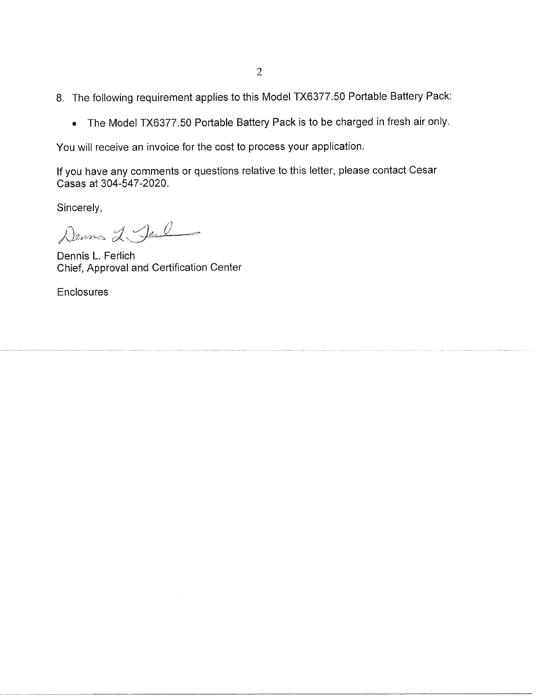- 8. The following requirement applies to this Model TX6377.50 Portable Battery Pack:
	- The Model TX6377.50 Portable Battery Pack is to be charged in fresh air only.

You will receive an invoice for the cost to process your application.

If you have any comments or questions relative to this letter, please contact Cesar Casas at 304-547-2020.

Sincerely,

Denna 2 Jul

Dennis L. Ferlich Chief, Approval and Certification Center

**Enclosures**